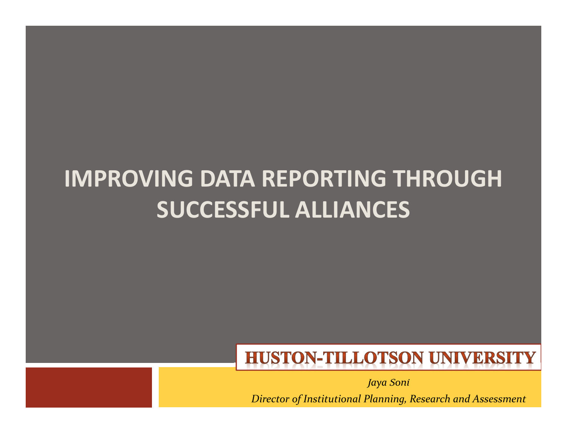#### IMPROVING DATA REPORTING THROUGH SUCCESSFUL ALLIANCES

#### **HUSTON-TILLOTSON UNIVERSITY**

Jaya SoniDirector of Institutional Planning, Research and Assessment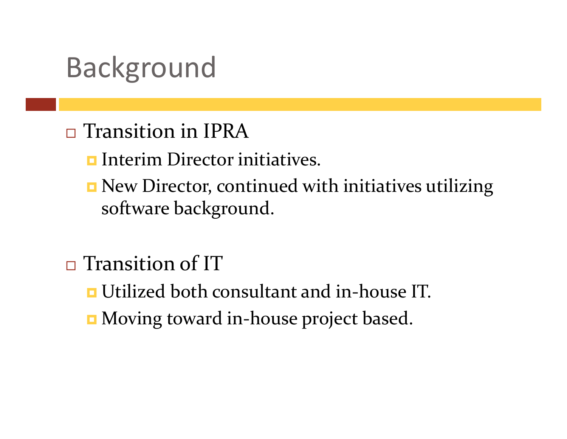## Background

- □ Transition in IPRA
	- **<u>Interim Director initiatives.</u>**
	- **n** New Director, continued with initiatives utilizing software background.
- $\Box$ □ Transition of IT
	- $\blacksquare$  Utilized both consultant and in-house IT.
	- **n** Moving toward in-house project based.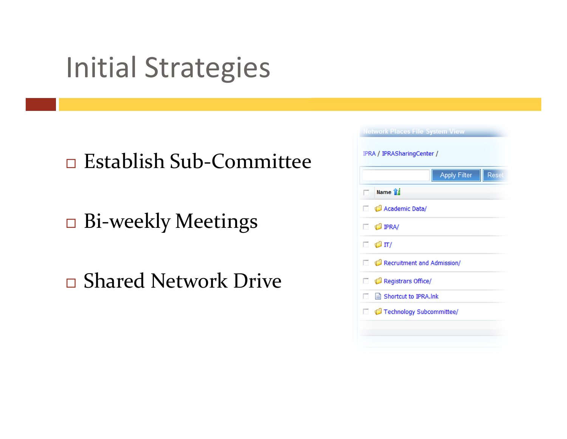## Initial Strategies

 $\Box$ □ Establish Sub-Committee

 $\Box$ Bi-weekly Meetings

 $\Box$ □ Shared Network Drive

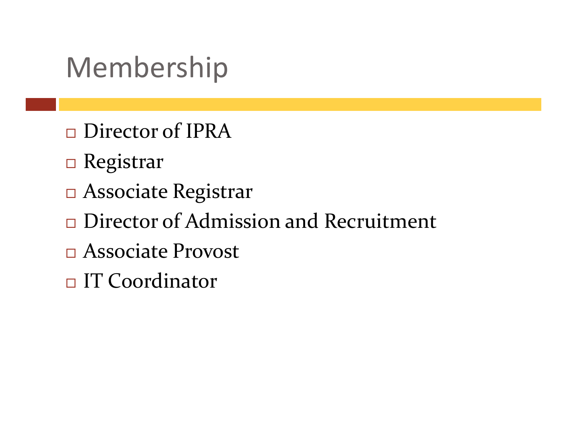## Membership

- $\Box$ □ Director of IPRA
- <mark>□ Registrar</mark>
- Associate Registrar
- $\Box$ □ Director of Admission and Recruitment
- Associate Provost
- $\Box$ □ IT Coordinator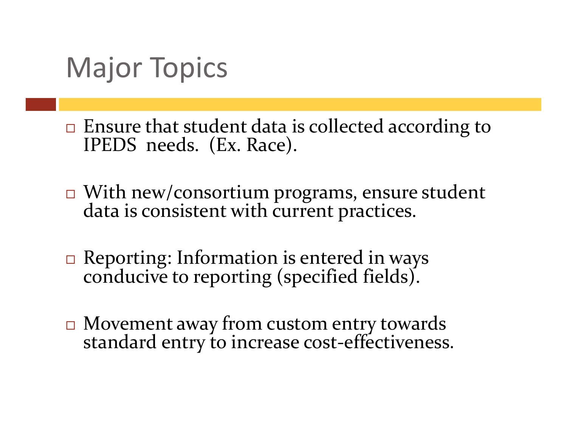## Major Topics

- $\Box$ □ Ensure that student data is collected according to IPEDS needs. (Ex. Race).
- $\Box$ □ With new/consortium programs, ensure student data is consistent with current practices.
- $\Box$ Reporting: Information is entered in ways conducive to reporting (specified fields).
- $\Box$  Movement away from custom entry towards standard entry to increase cost-effectiveness.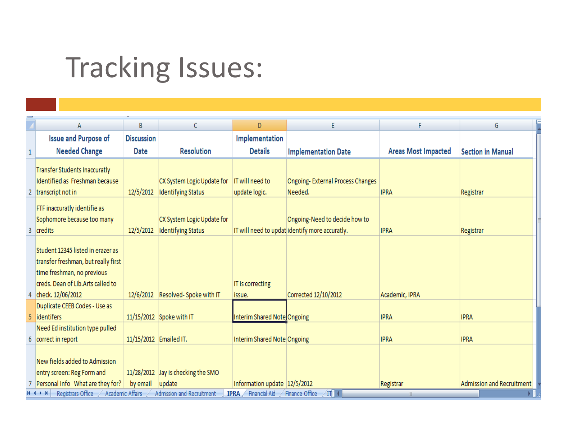# Tracking Issues:

|   | A                                                                                                                                                                  | B                            | C                                                                         | D                                                            | E                                                                               | F                          | G                         |  |  |  |  |  |
|---|--------------------------------------------------------------------------------------------------------------------------------------------------------------------|------------------------------|---------------------------------------------------------------------------|--------------------------------------------------------------|---------------------------------------------------------------------------------|----------------------------|---------------------------|--|--|--|--|--|
|   | <b>Issue and Purpose of</b>                                                                                                                                        | <b>Discussion</b>            |                                                                           | Implementation                                               |                                                                                 |                            |                           |  |  |  |  |  |
|   | <b>Needed Change</b>                                                                                                                                               | <b>Date</b>                  | <b>Resolution</b>                                                         | <b>Details</b>                                               | <b>Implementation Date</b>                                                      | <b>Areas Most Impacted</b> | <b>Section in Manual</b>  |  |  |  |  |  |
|   | Transfer Students Inaccuratly<br>Identified as Freshman because<br>2 transcript not in                                                                             | 12/5/2012                    | CX System Logic Update for<br><b>Identifying Status</b>                   | IT will need to<br>update logic.                             | <b>Ongoing-External Process Changes</b><br>Needed.                              | <b>IPRA</b>                | Registrar                 |  |  |  |  |  |
| 3 | FTF inaccuratly identifie as<br>Sophomore because too many<br>credits                                                                                              | 12/5/2012                    | CX System Logic Update for<br><b>Identifying Status</b>                   |                                                              | Ongoing-Need to decide how to<br>IT will need to updat identify more accuratly. | <b>IPRA</b>                | Registrar                 |  |  |  |  |  |
|   | Student 12345 listed in erazer as<br>transfer freshman, but really first<br>time freshman, no previous<br>creds. Dean of Lib.Arts called to<br>4 check. 12/06/2012 |                              | 12/6/2012 Resolved-Spoke with IT                                          | IT is correcting<br>issue.                                   | Corrected 12/10/2012                                                            | Academic, IPRA             |                           |  |  |  |  |  |
|   | Duplicate CEEB Codes - Use as<br>5 identifers                                                                                                                      |                              | 11/15/2012 Spoke with IT                                                  | Interim Shared Note Ongoing                                  |                                                                                 | <b>IPRA</b>                | <b>IPRA</b>               |  |  |  |  |  |
|   | Need Ed institution type pulled<br>6 correct in report                                                                                                             | 11/15/2012 Emailed IT.       |                                                                           | Interim Shared Note Ongoing                                  |                                                                                 | <b>IPRA</b>                | <b>IPRA</b>               |  |  |  |  |  |
|   | New fields added to Admission<br>entry screen: Reg Form and<br>Personal Info What are they for?<br>Registrars Office<br>$H \leftrightarrow H$                      | by email<br>Academic Affairs | 11/28/2012 Jay is checking the SMO<br>update<br>Admission and Recruitment | Information update 12/5/2012<br>Financial Aid<br><b>IPRA</b> | Finance Office<br>$\overline{\mathbb{H}}$ (                                     | Registrar                  | Admission and Recruitment |  |  |  |  |  |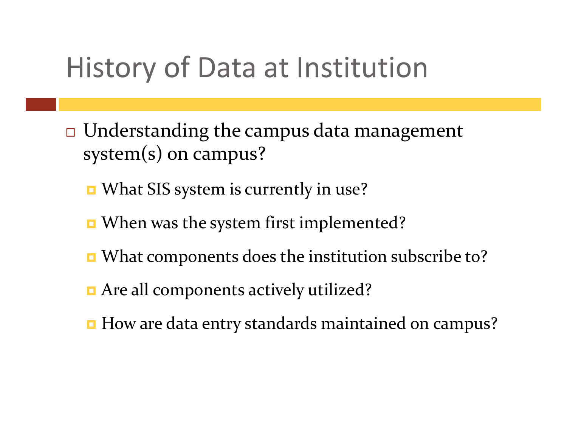## History of Data at Institution

- $\Box$  $\Box$  Understanding the campus data management system(s) on campus?
	- **n** What SIS system is currently in use?
	- When was the system first implemented?
	- What components does the institution subscribe to?
	- **n** Are all components actively utilized?
	- $\blacksquare$  How are data entry standards maintained on campus?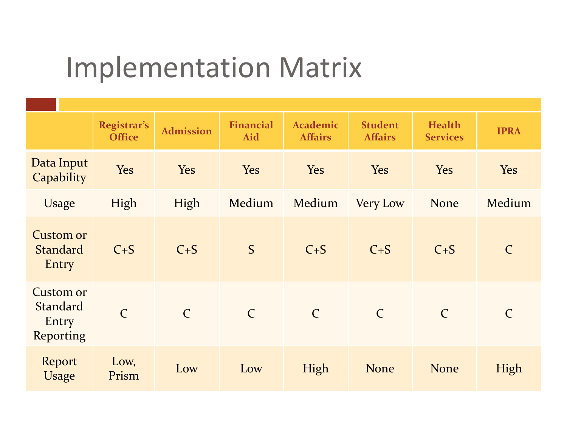## Implementation Matrix

|                                                           | Registrar's<br><b>Office</b> | <b>Admission</b> | <b>Financial</b><br>Aid | <b>Academic</b><br><b>Affairs</b> | <b>Student</b><br><b>Affairs</b> | <b>Health</b><br><b>Services</b> | <b>IPRA</b>   |
|-----------------------------------------------------------|------------------------------|------------------|-------------------------|-----------------------------------|----------------------------------|----------------------------------|---------------|
| Data Input<br>Capability                                  | Yes                          | Yes              | <b>Yes</b>              | Yes                               | Yes                              | Yes                              | Yes           |
| Usage                                                     | High                         | High             | Medium                  | Medium                            | <b>Very Low</b>                  | None                             | Medium        |
| <b>Custom or</b><br><b>Standard</b><br>Entry              | $C + S$                      | $C + S$          | S                       | $C + S$                           | $C + S$                          | $C + S$                          | $\mathsf{C}$  |
| <b>Custom or</b><br><b>Standard</b><br>Entry<br>Reporting | $\mathcal{C}$                | $\mathsf{C}$     | $\mathcal{C}$           | $\mathcal{C}$                     | $\mathcal{C}$                    | $\mathcal{C}$                    | $\mathcal{C}$ |
| Report<br>Usage                                           | Low,<br>Prism                | Low              | Low                     | High                              | <b>None</b>                      | <b>None</b>                      | High          |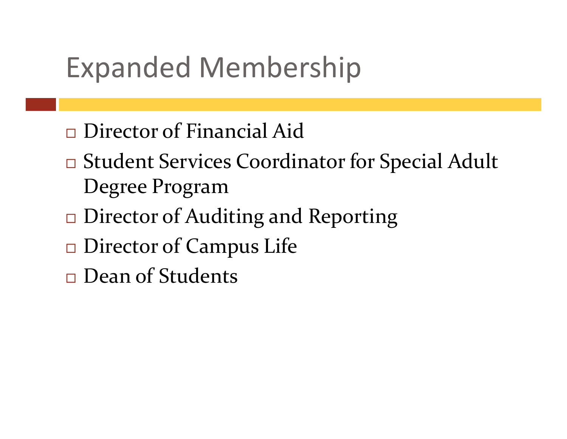## Expanded Membership

- $\Box$ □ Director of Financial Aid
- $\Box$ □ Student Services Coordinator for Special Adult Degree Program
- □ Director of Au □ Director of Auditing and Reporting
- $\Box$ □ Director of Campus Life
- $\Box$ □ Dean of Students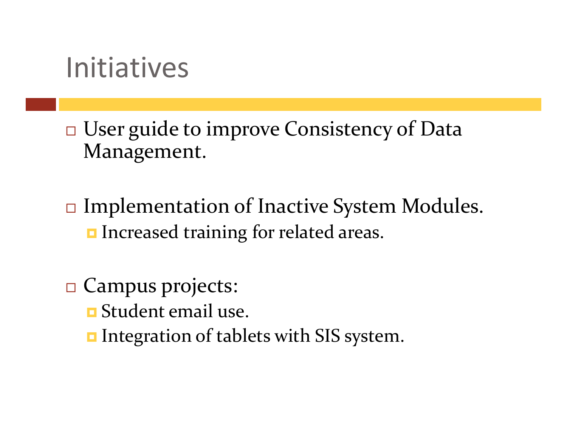#### Initiatives

 $\Box$ □ User guide to improve Consistency of Data Management.

 $\Box$  Implementation of Inactive System Modules. **Increased training for related areas.** 

- □ Campus projects:
	- $\blacksquare$  Student email use.
	- $\blacksquare$  Integration of tablets with SIS system.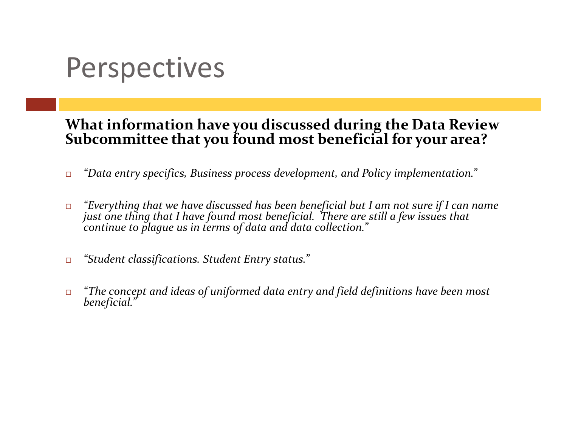## **Perspectives**

# What information have you discussed during the Data Review Subcommittee that you found most beneficial for your area?

- $\Box$ "Data entry specifics, Business process development, and Policy implementation."
- $\Box$ "Everything that we have discussed has been beneficial but I am not sure if I can name<br>just one thing that I have found most beneficial. There are still a few issues that<br>continue to plague us in terms of data and data col
- $\Box$ "Student classifications. Student Entry status."
- $\Box$ "The concept and ideas of uniformed data entry and field definitions have been most<br>beneficial."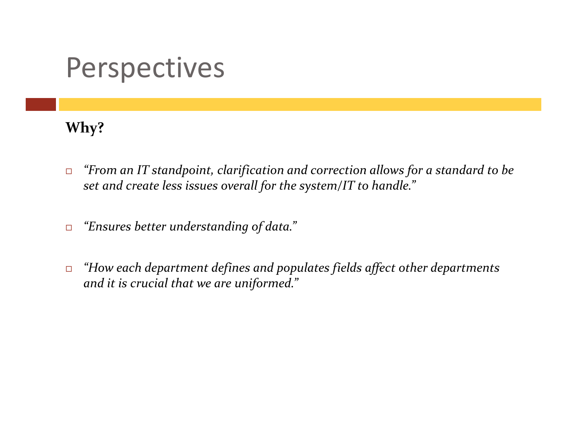#### **Perspectives**

#### Why?

- $\Box$  "From an IT standpoint, clarification and correction allows for a standard to be set and create less issues overall for the system/IT to handle."
- $\Box$ "Ensures better understanding of data."
- $\Box$  "How each department defines and populates fields affect other departments and it is crucial that we are uniformed."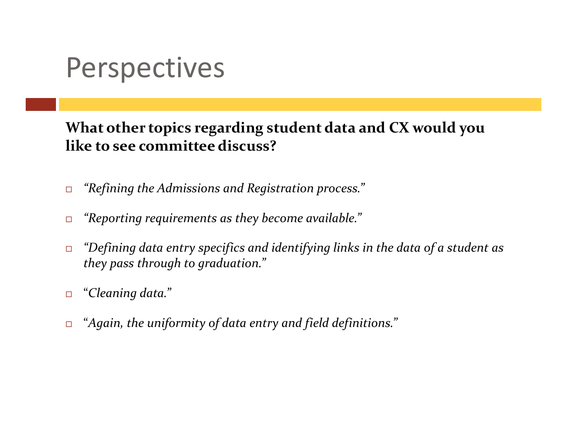## Perspectives

What other topics regarding student data and CX would you like to see committee discuss?

- $\Box$ "Refining the Admissions and Registration process."
- $\Box$ "Reporting requirements as they become available."
- $\Box$  "Defining data entry specifics and identifying links in the data of a student as they pass through to graduation."
- $\Box$ "Cleaning data."
- $\Box$ "Again, the uniformity of data entry and field definitions."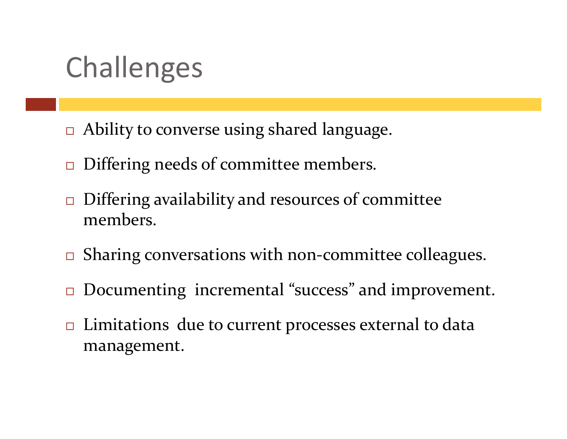# Challenges

- Ability to converse using shared language.
- □ Differing needs of committee members.
- $\Box$  Differing availability and resources of committee members.
- $\Box$ Sharing conversations with non-committee colleagues.
- $\Box$ Documenting incremental "success" and improvement.
- $\Box$  Limitations due to current processes external to data management.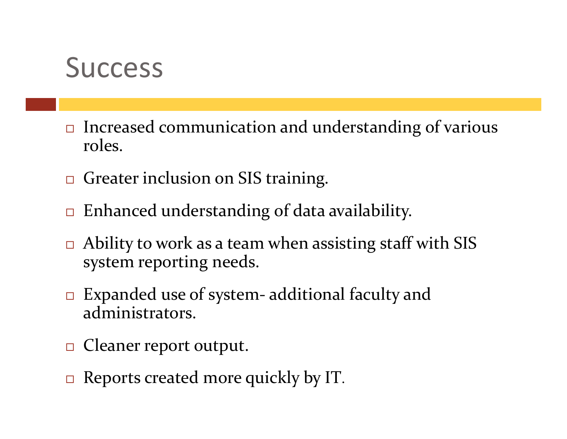#### **Success**

- $\Box$  Increased communication and understanding of various roles.
- **Greater inclusion on SIS training.**
- $\Box$ Enhanced understanding of data availability.
- □ Ability to work as a team when assisting staff with SIS system reporting needs.
- □ Expanded use of system- additional faculty and administrators.
- □ Cleaner report output.
- □ Reports created more quickly by IT.